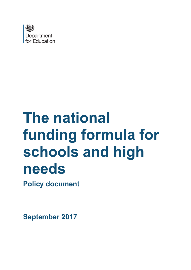

# **The national funding formula for schools and high needs**

**Policy document**

**September 2017**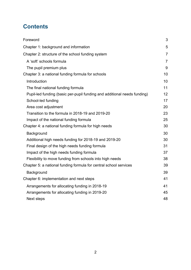# **Contents**

| Foreword                                                                 | 3              |
|--------------------------------------------------------------------------|----------------|
| Chapter 1: background and information                                    | 5              |
| Chapter 2: structure of the school funding system                        | $\overline{7}$ |
| A 'soft' schools formula                                                 | $\overline{7}$ |
| The pupil premium plus                                                   | 9              |
| Chapter 3: a national funding formula for schools                        | 10             |
| Introduction                                                             | 10             |
| The final national funding formula                                       | 11             |
| Pupil-led funding (basic per-pupil funding and additional needs funding) | 12             |
| School-led funding                                                       | 17             |
| Area cost adjustment                                                     | 20             |
| Transition to the formula in 2018-19 and 2019-20                         | 23             |
| Impact of the national funding formula                                   | 25             |
| Chapter 4: a national funding formula for high needs                     | 30             |
| Background                                                               | 30             |
| Additional high needs funding for 2018-19 and 2019-20                    | 30             |
| Final design of the high needs funding formula                           | 31             |
| Impact of the high needs funding formula                                 | 37             |
| Flexibility to move funding from schools into high needs                 | 38             |
| Chapter 5: a national funding formula for central school services        | 39             |
| Background                                                               | 39             |
| Chapter 6: implementation and next steps                                 | 41             |
| Arrangements for allocating funding in 2018-19                           | 41             |
| Arrangements for allocating funding in 2019-20                           | 45             |
| <b>Next steps</b>                                                        | 48             |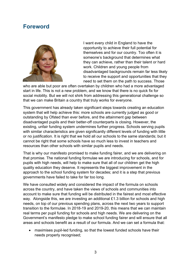# <span id="page-2-0"></span>**Foreword**



I want every child in England to have the opportunity to achieve their full potential for themselves and for our country. Too often it is someone's background that determines what they can achieve, rather than their talent or hard work. Children and young people from disadvantaged backgrounds remain far less likely to receive the support and opportunities that they need to set them on the path to success. Those

who are able but poor are often overtaken by children who had a more advantaged start in life. This is not a new problem, and we know that there is no quick fix for social mobility. But we will not shirk from addressing this generational challenge so that we can make Britain a country that truly works for everyone.

This government has already taken significant steps towards creating an education system that will help achieve this: more schools are currently judged as good or outstanding by Ofsted than ever before, and the attainment gap between disadvantaged pupils and their better-off counterparts is closing. However, the existing, unfair funding system undermines further progress. Schools serving pupils with similar characteristics are given significantly different levels of funding with little or no justification. It is right that we hold all our schools to the same standards; but it cannot be right that some schools have so much less to invest in teachers and resources than other schools with similar pupils and needs.

That is why our manifesto promised to make funding fairer, and we are delivering on that promise. The national funding formulae we are introducing for schools, and for pupils with high needs, will help to make sure that all of our children get the high quality education they deserve. It represents the biggest improvement in the approach to the school funding system for decades; and it is a step that previous governments have failed to take for far too long.

We have consulted widely and considered the impact of the formula on schools across the country, and have taken the views of schools and communities into account to make sure that funding will be distributed in the fairest and most effective way. Alongside this, we are investing an additional £1.3 billion for schools and high needs, on top of our previous spending plans, across the next two years to support transition to the formulae. In 2018-19 and 2019-20, this means that we can maintain real terms per pupil funding for schools and high needs. We are delivering on the Government's manifesto pledge to make school funding fairer and will ensure that all areas and schools benefit as a result of our formula. And we can set a formula that:

• maximises pupil-led funding, so that the lowest funded schools have their needs properly recognised;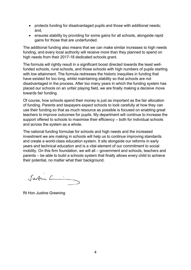- protects funding for disadvantaged pupils and those with additional needs; and,
- ensures stability by providing for some gains for all schools, alongside rapid gains for those that are underfunded.

The additional funding also means that we can make similar increases to high needs funding, and every local authority will receive more than they planned to spend on high needs from their 2017-18 dedicated schools grant.

The formula will rightly result in a significant boost directed towards the least wellfunded schools, rural schools, and those schools with high numbers of pupils starting with low attainment. The formula redresses the historic inequities in funding that have existed for too long, whilst maintaining stability so that schools are not disadvantaged in the process. After too many years in which the funding system has placed our schools on an unfair playing field, we are finally making a decisive move towards fair funding.

Of course, how schools spend their money is just as important as the fair allocation of funding. Parents and taxpayers expect schools to look carefully at how they can use their funding so that as much resource as possible is focused on enabling great teachers to improve outcomes for pupils. My department will continue to increase the support offered to schools to maximise their efficiency – both for individual schools and across the system as a whole.

The national funding formulae for schools and high needs and the increased investment we are making in schools will help us to continue improving standards and create a world-class education system. It sits alongside our reforms in early years and technical education and is a vital element of our commitment to social mobility. On this firm foundation, we will all – government and schools, teachers and parents – be able to build a schools system that finally allows every child to achieve their potential, no matter what their background.

Justin L

Rt Hon Justine Greening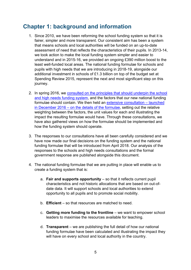# <span id="page-4-0"></span>**Chapter 1: background and information**

- 1. Since 2010, we have been reforming the school funding system so that it is fairer, simpler and more transparent. Our consistent aim has been a system that means schools and local authorities will be funded on an up-to-date assessment of need that reflects the characteristics of their pupils. In 2013-14, we took action to make the local funding system simpler and easier to understand and in 2015-16, we provided an ongoing £390 million boost to the least well-funded local areas. The national funding formulae for schools and pupils with high needs that we are introducing in 2018-19, alongside our additional investment in schools of £1.3 billion on top of the budget set at Spending Review 2015, represent the next and most significant step on this journey.
- 2. In spring 2016, we [consulted on the principles that should underpin the school](https://www.gov.uk/government/consultations/schools-national-funding-formula)  [and high needs funding system,](https://www.gov.uk/government/consultations/schools-national-funding-formula) and the factors that our new national funding formulae should contain. We then held an [extensive consultation –](https://www.gov.uk/government/consultations/schools-national-funding-formula-stage-2) launched in December 2016 – [on the details of the formulae,](https://www.gov.uk/government/consultations/schools-national-funding-formula-stage-2) setting out the relative weighting between the factors, the unit values for each and illustrating the impact the resulting formulae would have. Through these consultations, we have also gathered views on how the formulae should be implemented and how the funding system should operate.
- 3. The responses to our consultations have all been carefully considered and we have now made our final decisions on the funding system and the national funding formulae that will be introduced from April 2018. Our analysis of the responses to the schools and high needs consultations and the formal government response are published alongside this document.
- 4. The national funding formulae that we are putting in place will enable us to create a funding system that is:
	- a. **Fair and supports opportunity** so that it reflects current pupil characteristics and not historic allocations that are based on out-ofdate data. It will support schools and local authorities to extend opportunity to all pupils and to promote social mobility.
	- b. **Efficient** so that resources are matched to need.
	- c. **Getting more funding to the frontline** we want to empower school leaders to maximise the resources available for teaching.
	- d. **Transparent** we are publishing the full detail of how our national funding formulae have been calculated and illustrating the impact they will have on every school and local authority in the country.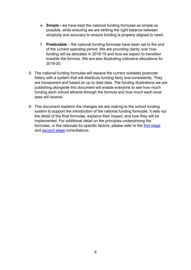- e. **Simple -** we have kept the national funding formulae as simple as possible, while ensuring we are striking the right balance between simplicity and accuracy to ensure funding is properly aligned to need.
- f. **Predictable** the national funding formulae have been set to the end of the current spending period. We are providing clarity over how funding will be allocated in 2018-19 and how we expect to transition towards the formula. We are also illustrating indicative allocations for 2019-20.
- 5. The national funding formulae will replace the current outdated postcode lottery with a system that will distribute funding fairly and consistently. They are transparent and based on up to date data. The funding illustrations we are publishing alongside this document will enable everyone to see how much funding each school attracts through the formula and how much each local area will receive.
- 6. This document explains the changes we are making to the school funding system to support the introduction of the national funding formulae. It sets out the detail of the final formulae, explains their impact, and how they will be implemented. For additional detail on the principles underpinning the formulae, or the rationale for specific factors, please refer to the first [stage](https://www.gov.uk/government/consultations/schools-national-funding-formula) and [second stage](https://www.gov.uk/government/consultations/schools-national-funding-formula-stage-2) consultations.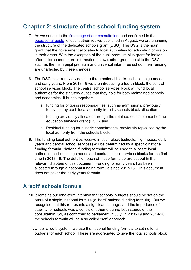# <span id="page-6-0"></span>**Chapter 2: structure of the school funding system**

- 7. As we set out in the [first stage of our consultation,](https://www.gov.uk/government/consultations/schools-national-funding-formula) and confirmed in the [operational guide](https://www.gov.uk/guidance/pre-16-schools-funding-guidance-for-2018-to-2019) to local authorities we published in August, we are changing the structure of the dedicated schools grant (DSG). The DSG is the main grant that the government allocates to local authorities for education provision in their areas. With the exception of the pupil premium plus grant for looked after children (see more information below), other grants outside the DSG such as the main pupil premium and universal infant free school meal funding are unaffected by these changes.
- 8. The DSG is currently divided into three notional blocks: schools, high needs and early years. From 2018-19 we are introducing a fourth block: the central school services block. The central school services block will fund local authorities for the statutory duties that they hold for both maintained schools and academies. It brings together:
	- a. funding for ongoing responsibilities, such as admissions, previously top-sliced by each local authority from its schools block allocation;
	- b. funding previously allocated through the retained duties element of the education services grant (ESG); and
	- c. Residual funding for historic commitments, previously top-sliced by the local authority from the schools block.
- 9. The funding local authorities receive in each block (schools, high needs, early years and central school services) will be determined by a specific national funding formula. National funding formulae will be used to allocate local authorities' schools, high needs and central school services blocks for the first time in 2018-19. The detail on each of these formulae are set out in the relevant chapters of this document. Funding for early years has been allocated through a national funding formula since 2017-18. This document does not cover the early years formula.

## <span id="page-6-1"></span>**A 'soft' schools formula**

- 10.It remains our long-term intention that schools' budgets should be set on the basis of a single, national formula (a 'hard' national funding formula). But we recognise that this represents a significant change, and the importance of stability for schools was a consistent theme during both stages of the consultation. So, as confirmed to parliament in July, in 2018-19 and 2019-20 the schools formula will be a so called 'soft' approach.
- 11.Under a 'soft' system, we use the national funding formula to set notional budgets for each school. These are aggregated to give the total schools block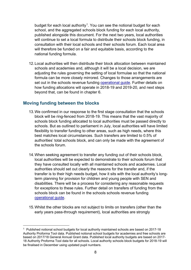budget for each local authority<sup>1</sup>. You can see the notional budget for each school, and the aggregated schools block funding for each local authority, published alongside this document. For the next two years, local authorities will continue to set a local formula to distribute their schools block funding, in consultation with their local schools and their schools forum. Each local area will therefore be funded on a fair and equitable basis, according to the national funding formula.

12.Local authorities will then distribute their block allocation between maintained schools and academies and, although it will be a local decision, we are adjusting the rules governing the setting of local formulae so that the national formula can be more closely mirrored. Changes to those arrangements are set out in the schools revenue funding operational quide. Further details on how funding allocations will operate in 2018-19 and 2019-20, and next steps beyond that, can be found in chapter 6.

#### **Moving funding between the blocks**

**.** 

- 13.We confirmed in our response to the first stage consultation that the schools block will be ring-fenced from 2018-19. This means that the vast majority of schools block funding allocated to local authorities must be passed directly to schools. But as outlined to parliament in July, local authorities will have limited flexibility to transfer funding to other areas, such as high needs, where this best matches local circumstances. Such transfers are limited to 0.5% of authorities' total schools block, and can only be made with the agreement of the schools forum.
- 14.When seeking agreement to transfer any funding out of their schools block, local authorities will be expected to demonstrate to their schools forum that they have consulted locally with all maintained schools and academies. Local authorities should set out clearly the reasons for the transfer and, if the transfer is to their high needs budget, how it sits with the local authority's longterm planning for provision for children and young people with SEN and disabilities. There will be a process for considering any reasonable requests for exceptions to these rules. Further detail on transfers of funding from the schools block can be found in the schools schools revenue funding [operational guide.](https://www.gov.uk/guidance/pre-16-schools-funding-guidance-for-2018-to-2019)
- 15.Whilst the other blocks are not subject to limits on transfers (other than the early years pass-through requirement), local authorities are strongly

<span id="page-7-0"></span><sup>&</sup>lt;sup>1</sup> Published notional school budgets for local authority maintained schools are based on 2017-18 Authority Proforma Tool data. Published notional school budgets for academies and free schools are based on 2017/18 General Annual Grant data. Published local authority budgets are based on 2017- 18 Authority Proforma Tool data for all schools. Local authority schools block budgets for 2018-19 will be finalised in December using updated pupil numbers.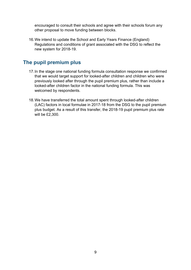encouraged to consult their schools and agree with their schools forum any other proposal to move funding between blocks.

16.We intend to update the School and Early Years Finance (England) Regulations and conditions of grant associated with the DSG to reflect the new system for 2018-19.

## <span id="page-8-0"></span>**The pupil premium plus**

- 17.In the stage one national funding formula consultation response we confirmed that we would target support for looked-after children and children who were previously looked after through the pupil premium plus, rather than include a looked-after children factor in the national funding formula. This was welcomed by respondents.
- 18.We have transferred the total amount spent through looked-after children (LAC) factors in local formulae in 2017-18 from the DSG to the pupil premium plus budget. As a result of this transfer, the 2018-19 pupil premium plus rate will be £2,300.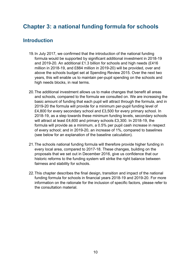# <span id="page-9-0"></span>**Chapter 3: a national funding formula for schools**

## <span id="page-9-1"></span>**Introduction**

- 19.In July 2017, we confirmed that the introduction of the national funding formula would be supported by significant additional investment in 2018-19 and 2019-20. An additional £1.3 billion for schools and high needs (£416 million in 2018-19, and £884 million in 2019-20) will be provided, over and above the schools budget set at Spending Review 2015. Over the next two years, this will enable us to maintain per-pupil spending on the schools and high needs blocks, in real terms.
- 20.The additional investment allows us to make changes that benefit all areas and schools, compared to the formula we consulted on. We are increasing the basic amount of funding that each pupil will attract through the formula, and in 2019-20 the formula will provide for a minimum per-pupil funding level of £4,800 for every secondary school and £3,500 for every primary school. In 2018-19, as a step towards these minimum funding levels, secondary schools will attract at least £4,600 and primary schools £3,300. In 2018-19, the formula will provide as a minimum, a 0.5% per pupil cash increase in respect of every school; and in 2019-20, an increase of 1%, compared to baselines (see below for an explanation of the baseline calculation).
- 21.The schools national funding formula will therefore provide higher funding in every local area, compared to 2017-18. These changes, building on the proposals that we set out in December 2016, give us confidence that our historic reforms to the funding system will strike the right balance between fairness and stability for schools.
- 22.This chapter describes the final design, transition and impact of the national funding formula for schools in financial years 2018-19 and 2019-20. For more information on the rationale for the inclusion of specific factors, please refer to the consultation material.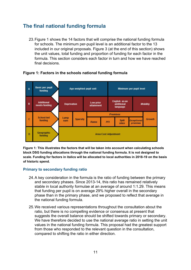# <span id="page-10-0"></span>**The final national funding formula**

23.Figure 1 shows the 14 factors that will comprise the national funding formula for schools. The minimum per-pupil level is an additional factor to the 13 included in our original proposals. Figure 3 (at the end of this section) shows the unit values, total funding and proportion of funding for each factor in the formula. This section considers each factor in turn and how we have reached final decisions.



#### **Figure 1: Factors in the schools national funding formula**

**Figure 1: This illustrates the factors that will be taken into account when calculating schools block DSG funding allocations through the national funding formula. It is not designed to scale. Funding for factors in italics will be allocated to local authorities in 2018-19 on the basis of historic spend.**

#### **Primary to secondary funding ratio**

- 24.A key consideration in the formula is the ratio of funding between the primary and secondary phases. Since 2013-14, this ratio has remained relatively stable in local authority formulae at an average of around 1:1.29. This means that funding per pupil is on average 29% higher overall in the secondary phase than in the primary phase, and we proposed to reflect that average in the national funding formula.
- 25.We received various representations throughout the consultation about the ratio, but there is no compelling evidence or consensus at present that suggests the overall balance should be shifted towards primary or secondary. We have therefore decided to use the national average ratio in setting the unit values in the national funding formula. This proposal had the greatest support from those who responded to the relevant question in the consultation, compared to shifting the ratio in either direction.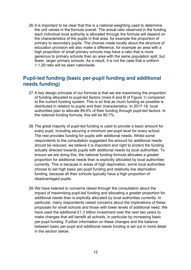26.It is important to be clear that this is a national weighting used to determine the unit values in the formula overall. The actual ratio observed in the funding each individual local authority is allocated through the formula will depend on the characteristics of the pupils in that area, for example the proportion of primary to secondary pupils. The choices made locally about the structure of education provision will also make a difference, for example an area with a high proportion of small primary schools may have a ratio that is more generous to primary schools than an area with the same population split, but fewer, larger primary schools. As a result, it is not the case that a uniform 1:1.29 ratio will be seen nationwide.

## <span id="page-11-0"></span>**Pupil-led funding (basic per-pupil funding and additional needs funding)**

- 27.A key design principle of our formula is that we are maximising the proportion of funding allocated to pupil-led factors (rows A and B of Figure 1) compared to the current funding system. This is so that as much funding as possible is distributed in relation to pupils and their characteristics. In 2017-18, local authorities plan to allocate 89.6% of their funding through pupil-led factors. In the national funding formula, this will be 90.7%.
- 28.The great majority of pupil-led funding is used to provide a basic amount for every pupil, including securing a minimum per-pupil level for every school. The rest provides funding for pupils with additional needs. Whilst some respondents to the consultation suggested the amount for additional needs should be reduced, we believe it is important and right to protect the funding actually directed towards pupils with additional needs by local authorities. To ensure we are doing this, the national funding formula allocates a greater proportion for additional needs than is explicitly allocated by local authorities currently. This is because in areas of high deprivation, some local authorities choose to set high basic per-pupil funding and relatively low deprivation funding, because all their schools typically have a high proportion of disadvantaged pupils.
- 29.We have listened to concerns raised through the consultation about the impact of maximising pupil-led funding and allocating a greater proportion for additional needs than is explicitly allocated by local authorities currently. In particular, many respondents raised concerns about the implications of these proposals for small schools and those with lower levels of additional need. We have used the additional £1.3 billion investment over the next two years to make changes that will benefit all schools, in particular by increasing basic per-pupil funding. Further information on these changes and the balance between basic per-pupil and additional needs funding is set out in more detail in the section below.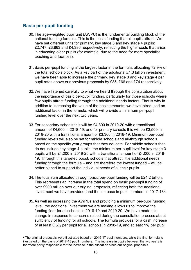## **Basic per-pupil funding**

- 30.The age-weighted pupil unit (AWPU) is the fundamental building block of the national funding formula. This is the basic funding that all pupils attract. We have set different units for primary, key stage 3 and key stage 4 pupils: £2,747, £3,863 and £4,386 respectively, reflecting the higher costs that arise in educating older pupils (for example, due to the need for more specialist teaching and facilities).
- 31.Basic per-pupil funding is the largest factor in the formula, allocating 72.9% of the total schools block. As a key part of the additional £1.3 billion investment, we have been able to increase the primary, key stage 3 and key stage 4 per pupil rates above our previous proposals by £35, £66 and £74 respectively.
- 32.We have listened carefully to what we heard through the consultation about the importance of basic per-pupil funding, particularly for those schools where few pupils attract funding through the additional needs factors. That is why in addition to increasing the value of the basic amounts, we have introduced an additional factor in the formula, which will provide a minimum per-pupil funding level over the next two years.
- 33.For secondary schools this will be £4,800 in 2019-20 with a transitional amount of £4,600 in 2018-19; and for primary schools this will be £3,500 in 2019-20 with a transitional amount of £3,300 in 2018-19. Minimum per-pupil funding levels will also be set for middle schools and all-through schools, based on the specific year groups that they educate. For middle schools that do not include key stage 4 pupils, the minimum per-pupil level for key stage 3 pupils will be £4,200 in 2019-20 with a transitional amount of £4,000 in 2018- 19. Through this targeted boost, schools that attract little additional needs funding through the formula – and are therefore the lowest funded – will be better placed to support the individual needs of all their pupils.
- 34.The total sum allocated through basic per-pupil funding will be £24.2 billion. This represents an increase in the total spend on basic per-pupil funding of over £900 million over our original proposals, reflecting both the additional investment we have provided, and the increase in pupil numbers in 2017-18[2](#page-12-0).
- 35.As well as increasing the AWPUs and providing a minimum per-pupil funding level, the additional investment we are making allows us to improve the funding floor for all schools in 2018-19 and 2019-20. We have made this change in response to concerns raised during the consultation process about sufficiency of funding for all schools. The formula provides for a cash increase of at least 0.5% per pupil for all schools in 2018-19, and at least 1% per pupil

<span id="page-12-0"></span><sup>&</sup>lt;u>.</u>  $2$  The original proposals were illustrated based on 2016-17 pupil numbers, while the final formula is illustrated on the basis of 2017-18 pupil numbers. The increase in pupils between the two years is therefore partly responsible for the increase in the allocation since our original proposals.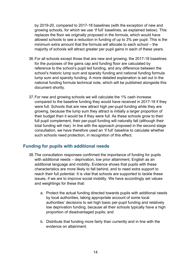by 2019-20, compared to 2017-18 baselines (with the exception of new and growing schools, for which we use 'if full' baselines, as explained below). This replaces the floor we originally proposed in the formula, which would have allowed schools to see a reduction in funding of up to 3% per pupil. This is the minimum extra amount that the formula will allocate to each school – the majority of schools will attract greater per pupil gains in each of these years.

- 36.For all schools except those that are new and growing, the 2017-18 baselines for the purposes of the gains cap and funding floor are calculated by reference to the school's pupil led funding, and any difference between the school's historic lump sum and sparsity funding and national funding formula lump sum and sparsity funding. A more detailed explanation is set out in the national funding formula technical note, which will be published alongside this document shortly.
- 37.For new and growing schools we will calculate the 1% cash increase compared to the baseline funding they would have received in 2017-18 if they were full. Schools that are new attract high per-pupil funding while they are growing, because the lump sum they attract is initially a larger proportion of their budget than it would be if they were full. As these schools grow to their full pupil complement, their per-pupil funding will naturally fall (although their total funding will rise). In line with the approach proposed in the second stage consultation, we have therefore used an 'if full' baseline to calculate whether such schools need protection, in recognition of this effect.

## **Funding for pupils with additional needs**

- 38.The consultation responses confirmed the importance of funding for pupils with additional needs – deprivation, low prior attainment, English as an additional language and mobility. Evidence shows that pupils with these characteristics are more likely to fall behind, and to need extra support to reach their full potential. It is vital that schools are supported to tackle these issues, if we are to improve social mobility. We have accordingly set values and weightings for these that:
	- a. Protect the actual funding directed towards pupils with additional needs by local authorities, taking appropriate account of some local authorities' decisions to set high basic per-pupil funding and relatively low deprivation funding, because all their schools typically have a high proportion of disadvantaged pupils; and
	- b. Distribute that funding more fairly than currently and in line with the evidence on attainment.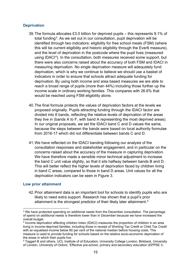#### **Deprivation**

- 39.The formula allocates £3.0 billion for deprived pupils this represents 9.1% of total funding[3](#page-14-0). As we set out in our consultation, pupil deprivation will be identified through two indicators: eligibility for free school meals (FSM) (where this will be current eligibility and historic eligibility through the Ever6 measure), and the level of deprivation in the postcode where the pupil lives (measured using IDACI[4\)](#page-14-1). In the consultation, both measures received some support, but there were also concerns raised about the accuracy of both FSM and IDACI in measuring deprivation. No single deprivation measure will adequately fund deprivation, which is why we continue to believe we should use a basket of indicators in order to ensure that schools attract adequate funding for deprivation. By using both income and area based measures we are able to reach a broad range of pupils (more than 44%) including those further up the income scale in ordinary working families. This compares with 26.6% that would be reached using FSM eligibility alone.
- 40.The final formula protects the values of deprivation factors at the levels we proposed originally. Pupils attracting funding through the IDACI factor are divided into 6 bands, reflecting the relative levels of deprivation of the areas they live in (bands A to F, with band A representing the most deprived areas). In our original proposals, we set the IDACI band C and D values the same, because the steps between the bands were based on local authority formulae from 2016-17 which did not differentiate between bands C and D.
- 41.We have reflected on the IDACI banding following our analysis of the consultation responses and stakeholder engagement, and in particular on the concerns raised about the accuracy of the measure in capturing deprivation. We have therefore made a sensible minor technical adjustment to increase the band C unit value slightly, so that it sits halfway between bands B and D. This will better reflect the higher levels of deprivation faced by children living in band C areas, compared to those in band D areas. Unit values for all the deprivation indicators can be seen in Figure 3.

#### **Low prior attainment**

 $\overline{a}$ 

42.Prior attainment data is an important tool for schools to identify pupils who are likely to need extra support. Research has shown that a pupil's prior attainment is the strongest predictor of their likely later attainment.[5](#page-14-2)

<span id="page-14-0"></span><sup>&</sup>lt;sup>3</sup> We have protected spending on additional needs from the December consultation. The percentage of spend on additional needs is therefore lower than in December because we have increased the overall budget.

<span id="page-14-1"></span><sup>4</sup> Income deprivation affecting children index (IDACI) measures the proportion of children in an area living in income-deprived families, including those in receipt of Working Tax Credit or Child Tax Credit with an equalised income below 60 per cent of the national median before housing costs. This measure is used to provide funding for schools based on the relative socio-economic deprivation of the areas in which their pupils live.

<span id="page-14-2"></span><sup>5</sup> Taggert B and others, UCL Institute of of Education, University College London, Birkbeck, University of London, University of Oxford, 'Effective pre-school, primary and secondary education (EPPSE 3-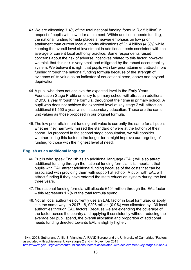- 43.We are allocating 7.4% of the total national funding formula (£2.5 billion) in respect of pupils with low prior attainment. Within additional needs funding, the national funding formula places a heavier emphasis on low prior attainment than current local authority allocations of £1.4 billion (4.3%) while keeping the overall level of investment in additional needs consistent with the average of current local authority practice. Some respondents raised concerns about the risk of adverse incentives related to this factor; however we think that this risk is very small and mitigated by the robust accountability system. We believe it is right that pupils with low prior attainment attract more funding through the national funding formula because of the strength of evidence of its value as an indicator of educational need, above and beyond deprivation.
- 44.A pupil who does not achieve the expected level in the Early Years Foundation Stage Profile on entry to primary school will attract an additional £1,050 a year through the formula, throughout their time in primary school. A pupil who does not achieve the expected level at key stage 2 will attract an additional £1,550 a year while in secondary education. These are the same unit values as those proposed in our original formula.
- 45.The low prior attainment funding unit value is currently the same for all pupils, whether they narrrowly missed the standard or were at the bottom of their cohort. As proposed in the second stage consultation, we will consider whether tiering this factor in the longer term might improve our targeting of funding to those with the highest level of need.

#### **English as an additional language**

<u>.</u>

- 46.Pupils who speak English as an additional language (EAL) will also attract additional funding through the national funding formula. It is important that pupils with EAL attract additional funding because of the costs that can be associated with providing them with support at school. A pupil with EAL will attract funding if they have entered the state education system during the last three years.
- 47.The national funding formula will allocate £404 million through the EAL factor – this represents 1.2% of the total formula spend.
- 48.Not all local authorities currently use an EAL factor in local formulae, or apply it in the same way. In 2017-18, £296 million (0.9%) was allocated by 139 local authorities through EAL factors. Because we are extending the coverage of the factor across the country and applying it consistently without reducing the average per pupil spend, the overall allocation and proportion of additional needs funding directed towards EAL is slightly higher.

<sup>16+)&#</sup>x27;, 2008; Sutherland A, Ilie S, Vignoles A, RAND Europe and the University of Cambridge 'Factors associated with achievement: key stages 2 and 4', November 2015 <https://www.gov.uk/government/publications/factors-associated-with-achievement-key-stages-2-and-4>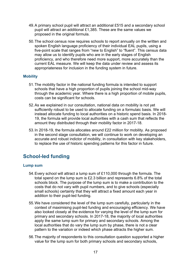- 49.A primary school pupil will attract an additional £515 and a secondary school pupil will attract an additional £1,385. These are the same values we proposed in the original formula.
- 50.The school census now requires schools to report annually on the written and spoken English language proficiency of their individual EAL pupils, using a five-point scale that ranges from "new to English" to "fluent". This census data may allow us to identify pupils who are in the early stages of English proficiency, and who therefore need more support, more accurately than the current EAL measure. We will keep the data under review and assess its appropriateness for inclusion in the funding system in future.

#### **Mobility**

- 51.The mobility factor in the national funding formula is intended to support schools that have a high proportion of pupils joining the school mid-way through the academic year. Where there is a high proportion of mobile pupils, costs can be significant for schools.
- 52.As we explained in our consultation, national data on mobility is not yet sufficiently robust to be used to allocate funding on a formulaic basis. We will instead allocate funding to local authorities on a historic spend basis. In 2018- 19, the formula will provide local authorities with a cash sum that reflects the amount they distributed through their mobility factor in 2017-18.
- 53.In 2018-19, the formula allocates around £22 million for mobility. As proposed in the second stage consultation, we will continue to work on developing an accurate and robust indictor of mobility, in consultation with key stakeholders, to replace the use of historic spending patterns for this factor in future.

## <span id="page-16-0"></span>**School-led funding**

#### **Lump sum**

- 54.Every school will attract a lump sum of £110,000 through the formula. The total spend on the lump sum is £2.3 billion and represents 6.8% of the total schools block. The purpose of the lump sum is to make a contribution to the costs that do not vary with pupil numbers, and to give schools (especially small schools) certainty that they will attract a fixed amount each year in addition to their pupil-led funding.
- 55.We have considered the level of the lump sum carefully, particularly in the context of maximising pupil-led funding and encouraging efficiency. We have also looked closely at the evidence for varying the level of the lump sum for primary and secondary schools. In 2017-18, the majority of local authorities apply the same lump sum for primary and secondary schools. Among the local authorities that do vary the lump sum by phase, there is not a clear pattern to the variation or indeed which phase attracts the higher sum.
- 56.The majority of respondents to this consultation question supported a higher value for the lump sum for both primary schools and secondary schools,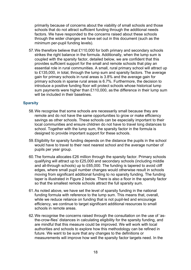primarily because of concerns about the viability of small schools and those schools that do not attract sufficient funding through the additional needs factors. We have responded to the concerns raised about these schools through the wider changes we have set out in this document (such as the minimum per-pupil funding levels).

57.We therefore believe that £110,000 for both primary and secondary schools strikes the right balance in the formula. Additionally, when the lump sum is coupled with the sparsity factor, detailed below, we are confident that this provides sufficient support for the small and remote schools that play an essential role in rural communities. A small, rural primary school will attract up to £135,000, in total, through the lump sum and sparsity factors. The average gain for primary schools in rural areas is 3.8% and the average gain for primary schools in sparse rural areas is 6.7%. Furthermore, the decision to introduce a positive funding floor will protect schools whose historical lump sum payments were higher than £110,000, as the difference in their lump sum will be included in their baselines

#### **Sparsity**

- 58.We recognise that some schools are necessarily small because they are remote and do not have the same opportunities to grow or make efficiency savings as other schools. These schools can be especially important to their local communities and ensure children do not have to travel long distances to school. Together with the lump sum, the sparsity factor in the formula is designed to provide important support for these schools.
- 59.Eligibility for sparsity funding depends on the distance the pupils in the school would have to travel to their next nearest school and the average number of pupils per year group.
- 60.The formula allocates £26 million through the sparsity factor. Primary schools qualifying will attract up to £25,000 and secondary schools (including middle and all-through schools) up to £65,000. The funding is tapered to avoid cliff edges, where small pupil number changes would otherwise result in schools moving from significant additional funding to no sparsity funding. The funding taper is illustrated in Figure 2 below. There is also a floor in the sparsity factor so that the smallest remote schools attract the full sparsity sum.
- 61.As noted above, we have set the level of sparsity funding in the national funding formula with reference to the lump sum. This means that, overall, while we reduce reliance on funding that is not pupil-led and encourage efficiency, we continue to target significant additional resources to small schools in remote areas.
- 62.We recognise the concerns raised through the consultation on the use of 'asthe-crow-flies' distances in calculating eligibility for the sparsity funding, and are mindful that this measure could be improved. We will work with local authorities and schools to explore how this methodology can be refined in future. We want to be sure that any changes to the definitions or measurements will improve how well the sparsity factor targets need. In the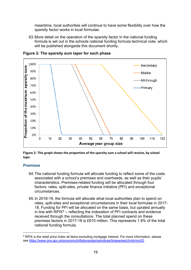meantime, local authorities will continue to have some flexibility over how the sparsity factor works in local formulae.

63.More detail on the operation of the sparsity factor in the national funding formula is set out in the schools national funding formula technical note, which will be published alongside this document shortly.



**Figure 2: The sparsity sum taper for each phase**

**Figure 2: This graph shows the proportion of the sparsity sum a school will receive, by school type.**

#### **Premises**

 $\overline{a}$ 

- 64.The national funding formula will allocate funding to reflect some of the costs associated with a school's premises and overheads, as well as their pupils' characteristics. Premises-related funding will be allocated through four factors: rates, split-sites, private finance initiative (PFI) and exceptional circumstances.
- 65.In 2018-19, the formula will allocate what local authorities plan to spend on rates, split-sites and exceptional circumstances in their local formulae in 2017- 18. Funding for PFI will be allocated on the same basis, but uprated annually in line with  $RPIX<sup>6</sup>$  $RPIX<sup>6</sup>$  $RPIX<sup>6</sup>$  – reflecting the indexation of PFI contracts and evidence received through the consultations. The total planned spend on these premises factors in 2017-18 is £610 million. This represents 1.8% of the total national funding formula.

<span id="page-18-0"></span><sup>&</sup>lt;sup>6</sup> RPIX is the retail price index all items excluding mortgage interest. For more information, please see https://www.ons.gov.uk/economy/inflationandpriceindices/timeseries/chmk/mm23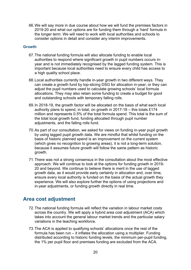66.We will say more in due course about how we will fund the premises factors in 2019-20 and what our options are for funding them through a 'hard' formula in the longer term. We will need to work with local authorities and schools to consider options in detail and consider any interim improvements.

#### **Growth**

- 67.The national funding formula will also allocate funding to enable local authorities to respond where significant growth in pupil numbers occurs inyear and is not immediately recognised by the lagged funding system. This is important because local authorities need to ensure every child has access to a high quality school place.
- 68.Local authorities currently handle in-year growth in two different ways. They can create a growth fund by top-slicing DSG for allocation in-year; or they can adjust the pupil numbers used to calculate growing schools' local formula allocations. They may also retain some funding to create a budget for good and outstanding schools with temporary falling rolls.
- 69.In 2018-19, the growth factor will be allocated on the basis of what each local authority plans to spend, in total, on growth in 2017-18 – this totals £174 million and represents 0.5% of the total formula spend. This total is the sum of the total local growth fund, funding allocated through pupil number adjustments, and the falling rolls fund.
- 70.As part of our consultation, we asked for views on funding in-year pupil growth by using lagged pupil growth data. We are mindful that whilst funding on the basis of historic planned spend is an improvement on the current system (which gives no recognition to growing areas), it is not a long-term solution, because it assumes future growth will follow the same pattern as historic growth.
- 71.There was not a strong consensus in the consultation about the most effective approach. We will continue to look at the options for funding growth in 2019- 20 and beyond. We continue to believe there is merit in the use of lagged growth data, as it would provide early certainty in allocation and, over time, ensure every local authority is funded on the basis of the actual growth they experience. We will also explore further the options of using projections and in-year adjustments, or funding growth directly in real time.

## <span id="page-19-0"></span>**Area cost adjustment**

- 72.The national funding formula will reflect the variation in labour market costs across the country. We will apply a hybrid area cost adjustment (ACA) which takes into account the general labour market trends and the particular salary variations in the teaching workforce.
- 73.The ACA is applied to qualifying schools' allocations once the rest of the formula has been run – it inflates the allocation using a multiplier. Funding distributed according to historic funding levels, the minimum per-pupil funding, the 1% per pupil floor and premises funding are excluded from the ACA.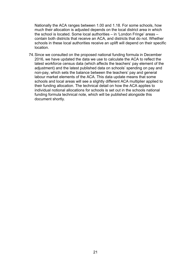Nationally the ACA ranges between 1.00 and 1.18. For some schools, how much their allocation is adjusted depends on the local district area in which the school is located. Some local authorities – in 'London Fringe' areas – contain both districts that receive an ACA, and districts that do not. Whether schools in these local authorities receive an uplift will depend on their specific location.

74.Since we consulted on the proposed national funding formula in December 2016, we have updated the data we use to calculate the ACA to reflect the latest workforce census data (which affects the teachers' pay element of the adjustment) and the latest published data on schools' spending on pay and non-pay, which sets the balance between the teachers' pay and general labour market elements of the ACA. This data update means that some schools and local areas will see a slightly different ACA multiplier applied to their funding allocation. The technical detail on how the ACA applies to individual notional allocations for schools is set out in the schools national funding formula technical note, which will be published alongside this document shortly.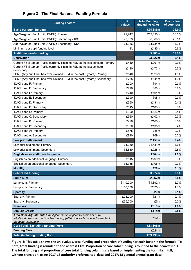#### **Figure 3 - The Final National Funding Formula**

| <b>Funding Factors</b>                                                                                                                                                         | <b>Unit</b><br>values | <b>Total Funding</b><br>(including ACA) | <b>Proportion</b><br>of core total |
|--------------------------------------------------------------------------------------------------------------------------------------------------------------------------------|-----------------------|-----------------------------------------|------------------------------------|
| <b>Basic per-pupil funding</b>                                                                                                                                                 |                       | £24,183m                                | 72.9%                              |
| Age Weighted Pupil Unit (AWPU): Primary                                                                                                                                        | £2,747                | £12,595m                                | 38.0%                              |
| Age Weighted Pupil Unit (AWPU): Secondary - KS3                                                                                                                                | £3,863                | £6,668m                                 | 20.1%                              |
| Age Weighted Pupil Unit (AWPU): Secondary - KS4                                                                                                                                | £4,386                | £4,734m                                 | 14.3%                              |
| Minimum per pupil funding level                                                                                                                                                | ΝA                    | £185m                                   | 0.6%                               |
| <b>Additional needs funding</b>                                                                                                                                                |                       | £5,906m                                 | 17.8%                              |
| <b>Deprivation</b>                                                                                                                                                             |                       | £3,022m                                 | 9.1%                               |
| Current FSM top up (Pupils currently claiming FSM at the last census): Primary                                                                                                 | £440                  | £291m                                   | 0.9%                               |
| Current FSM top up (Pupils currently claiming FSM at the last census):<br>Secondary                                                                                            | £440                  | £173m                                   | 0.5%                               |
| FSM6 (Any pupil that has ever claimed FSM in the past 6 years): Primary                                                                                                        | £540                  | £626m                                   | 1.9%                               |
| FSM6 (Any pupil that has ever claimed FSM in the past 6 years): Secondary                                                                                                      | £785                  | £641m                                   | 1.9%                               |
| <b>IDACI band F: Primary</b>                                                                                                                                                   | £200                  | £94m                                    | 0.3%                               |
| IDACI band F: Secondary                                                                                                                                                        | £290                  | £80m                                    | 0.2%                               |
| <b>IDACI band E: Primary</b>                                                                                                                                                   | £240                  | £101m                                   | 0.3%                               |
| <b>IDACI band E: Secondary</b>                                                                                                                                                 | £390                  | £95m                                    | 0.3%                               |
| IDACI band D: Primary                                                                                                                                                          | £360                  | £131m                                   | 0.4%                               |
| <b>IDACI band D: Secondary</b>                                                                                                                                                 | £515                  | £108m                                   | 0.3%                               |
| <b>IDACI band C: Primary</b>                                                                                                                                                   | £390                  | £123m                                   | 0.4%                               |
| IDACI band C: Secondary                                                                                                                                                        | £560                  | £102m                                   | 0.3%                               |
| IDACI band B: Primary                                                                                                                                                          | £420                  | £165m                                   | 0.5%                               |
| IDACI band B: Secondary                                                                                                                                                        | £600                  | £135m                                   | 0.4%                               |
| IDACI band A: Primary                                                                                                                                                          | £575                  | £88m                                    | 0.3%                               |
| <b>IDACI band A: Secondary</b>                                                                                                                                                 | £810                  | £69m                                    | 0.2%                               |
| Low prior attainment                                                                                                                                                           |                       | £2,458m                                 | 7.4%                               |
| Low prior attainment: Primary                                                                                                                                                  | £1,050                | £1,531m                                 | 4.6%                               |
| Low prior attainment: Secondary                                                                                                                                                | £1,550                | £928m                                   | 2.8%                               |
| English as an additional language                                                                                                                                              |                       | £404m                                   | 1.2%                               |
| English as an additional language: Primary                                                                                                                                     | £515                  | £299m                                   | 0.9%                               |
| English as an additional language: Secondary                                                                                                                                   | £1,385                | £106m                                   | 0.3%                               |
| <b>Mobility</b>                                                                                                                                                                |                       | £22m                                    | 0.1%                               |
| <b>School led funding</b>                                                                                                                                                      |                       | £3,077m                                 | 9.3%                               |
| Lump sum                                                                                                                                                                       |                       | £2,267m                                 | 6.8%                               |
| Lump sum: Primary                                                                                                                                                              | £110,000              | £1,892m                                 | 5.7%                               |
| Lump sum: Secondary                                                                                                                                                            | £110,000              | £375m                                   | 1.1%                               |
| <b>Sparsity</b>                                                                                                                                                                |                       | £26m                                    | 0.1%                               |
| Sparsity: Primary                                                                                                                                                              | £25,000               | £21m                                    | 0.1%                               |
| Sparsity: Secondary                                                                                                                                                            | £65,000               | £5m                                     | $0.0\%$                            |
| <b>Premises</b>                                                                                                                                                                |                       | £610m                                   | 1.8%                               |
| <b>Explicit Growth</b>                                                                                                                                                         |                       | £174m                                   | 0.5%                               |
| Area Cost Adjustment: A multiplier that is applied to basic per pupil,<br>additional needs and school led funding (ACA is already included in each of<br>the factor subtotals) |                       | £824m                                   |                                    |
| <b>Core Total (Excluding funding floor)</b>                                                                                                                                    |                       | £33,166m                                |                                    |
| <b>Funding Floor</b>                                                                                                                                                           |                       | £624m                                   |                                    |
| <b>Total (including funding floor)</b>                                                                                                                                         |                       | £33,790m                                |                                    |

**Figure 3: This table shows the unit values, total funding and proportion of funding for each factor in the formula. To note, total funding is rounded to the nearest £1m. Proportion of core total funding is rounded to the nearest 0.1%. The total funding and proportion of core total funding columns are based on implementing the formula in full, without transition, using 2017-18 authority proforma tool data and 2017/18 general annual grant data.**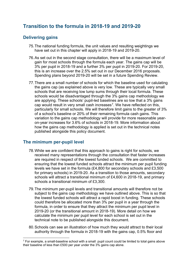## <span id="page-22-0"></span>**Transition to the formula in 2018-19 and 2019-20**

## **Delivering gains**

- 75.The national funding formula, the unit values and resulting weightings we have set out in this chapter will apply in 2018-19 and 2019-20.
- 76.As set out in the second stage consultation, there will be a maximum level of gain for most schools through the formula each year. The gains cap will be 3% per pupil in 2018-19 and a further 3% per pupil in 2019-20. For 2019-20, this is an increase over the 2.5% set out in our December 2016 proposals. Spending plans beyond 2019-20 will be set in a future Spending Review.
- 77.There are a small number of schools for which the baseline used for calulating the gains cap (as explained above is very low. These are typically very small schools that are receiving low lump sums through their local formula. These schools would be disadvantaged through the 3% gains cap methodology we are applying. These schools' pupil-led baselines are so low that a 3% gains cap would result in very small cash increases<sup>[7](#page-22-1)</sup>. We have reflected on this, particularly for small schools. We will therefore limit gains to the greater of 3% of a school's baseline or 20% of their remaining formula cash gains. This variation to the gains cap methodology will provide for more reasonable yearon-year increases for 3.6% of schools in 2018-19. More information about how the gains cap methodology is applied is set out in the technical notes published alongside this policy document.

## **The minimum per-pupil level**

**.** 

- 78.While we are confident that this approach to gains is right for schools, we received many representations through the consultation that faster increases are required in respect of the lowest funded schools. We are committed to ensuring that the lowest funded schools attract the minimum per pupil funding levels we have set in the formula (£4,800 for secondary schools and £3,500 for primary schools) in 2019-20. As a transition to those amounts, secondary schools will attract a transitional minimum of £4,600 in 2018-19, and primary schools a transitional minimum of £3,300.
- 79.The minimum per-pupil levels and transitional amounts will therefore not be subject to the gains cap methodology we have outlined above. This is so that the lowest funded schools will attract a rapid boost in funding. These schools could therefore be allocated more than 3% per pupil in a year through the formula, in order to ensure that they attract the minimum per pupil level in 2019-20 (or the transitional amount in 2018-19). More detail on how we calculate the minimum per pupil level for each school is set out in the technical note to be published alongside this document.
- 80.Schools can see an illustration of how much they would attract to their local authority through the formula in 2018-19 with the gains cap, 0.5% floor and

<span id="page-22-1"></span> $7$  For example, a small-baseline school with a small pupil count could be limited to total gains above their baseline of less than £500 per year under the 3% gains cap alone.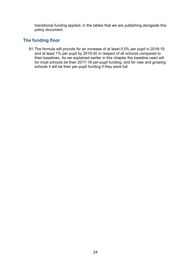transitional funding applied, in the tables that we are publishing alongside this policy document.

## **The funding floor**

81.The formula will provide for an increase of at least 0.5% per pupil in 2018-19 and at least 1% per pupil by 2019-20 in respect of all schools compared to their baselines. As we explained earlier in this chapter the baseline used will for most schools be their 2017-18 per-pupil funding, and for new and growing schools it will be their per-pupil funding if they were full.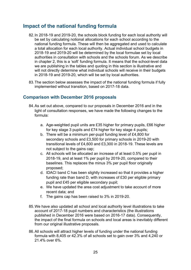## <span id="page-24-0"></span>**Impact of the national funding formula**

- 82.In 2018-19 and 2019-20, the schools block funding for each local authority will be set by calculating notional allocations for each school according to the national funding formula. These will then be aggregated and used to calculate a total allocation for each local authority. Actual individual school budgets in 2018-19 and 2019-20 will be determined by the local formulae set by local authorities in consultation with schools and the schools forum. As we describe in chapter 2, this is a 'soft' funding formula. It means that the school-level data we are publishing in the tables and quoting in this section is illustrative and will not directly determine what individual schools will receive in their budgets in 2018-19 and 2019-20, which will be set by local authorities.
- 83.The section below assesses the impact of the national funding formula if fully implemented without transition, based on 2017-18 data.

## **Comparison with December 2016 proposals**

- 84.As set out above, compared to our proposals in December 2016 and in the light of consultation responses, we have made the following changes to the formula:
	- a. Age-weighted pupil units are £35 higher for primary pupils, £66 higher for key stage 3 pupils and £74 higher for key stage 4 pupils;
	- b. There will be a minimum per-pupil funding level of £4,800 for secondary schools and £3,500 for primary schools in 2019-20 with transitional levels of £4,600 and £3,300 in 2018-19. These levels are not subject to the gains cap;
	- c. All schools will be allocated an increase of at least 0.5% per pupil in 2018-19, and at least 1% per pupil by 2019-20, compared to their baselines. This replaces the minus 3% per pupil floor originally proposed;
	- d. IDACI band C has been slightly increased so that it provides a higher funding rate than band D, with increases of £30 per eligible primary pupil and £45 per eligible secondary pupil;
	- e. We have updated the area cost adjustment to take account of more recent data; and
	- f. The gains cap has been raised to 3% in 2019-20.
- 85.We have also updated all school and local authority level illustrations to take account of 2017-18 pupil numbers and characteristics (the illustrations published in December 2016 were based on 2016-17 data). Consequently, the impact of the final formula on schools and local areas is inevitably different from our original illustrative proposals.
- 86.All schools will attract higher levels of funding under the national funding formula with 8,405 or 42.3% of all schools set to gain over 3% and 4,240 or 21.4% over 6%.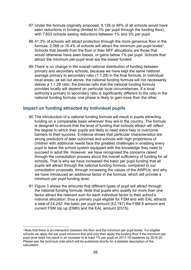- 87.Under the formula originally proposed, 9,128 or 46% of all schools would have seen reductions in funding (limited to 3% per pupil through the funding floor), with 7,603 schools seeing reductions between 1% and 3% per pupil.
- 88.41.3% of schools will attract protection through the more generous floor in the formula. 2,06[8](#page-25-0) or 10.4% of schools will attract the minimum per-pupil levels $^{\rm 8}.$ Schools that benefit from the floor in their NFF allocations are those that would otherwise have seen losses, or gains below 1% per pupil. Schools that attract the minimum per-pupil level are the lowest funded.
- 89.There is no change in the overall national distribution of funding between primary and secondary schools, because we have kept the same national average primary to secondary ratio (1:1.29) in the final formula. In individual local areas, as set out above, the national funding formula will not necessarily deliver a 1:1.29 ratio; the precise ratio that the national funding formula provides locally will depend on particular local circumstances. If a local authority's primary to secondary ratio is significantly different to the ratio in the national funding formula, one phase is likely to gain more than the other.

#### **Impact on funding attracted by individual pupils**

- 90.The introduction of a national funding formula will result in pupils attracting funding on a comparable basis wherever they are in the country. The formula is designed to ensure that the level of funding that schools attract will reflect the degree to which their pupils are likely to need extra help to overcome barriers to their success. Evidence shows that particular characteristics are strong predictors of later outcomes and schools with high proportions of children with additional needs face the greatest challenges in enabling every pupil to leave the school system equipped with the knowledge they need to succeed in adult life. However, we have recognised the concerns raised through the consultation process about the overall sufficiency of funding for all schools. That is why we have increased the basic per pupil funding that all pupils will attract through the national funding formula, compared to our consultation proposals, through increasing the values of the AWPUs; and why we have introduced an additional factor in the formula, which will provide a minimum per pupil funding level.
- 91.Figure 3 shows the amounts that different types of pupil will attract through the national funding formula. Note that pupils who qualify for more than one factor attract the relevant sum for each individual factor to their school's notional allocation: thus a primary pupil eligible for FSM and with EAL attracts a total of £4,242: the basic per pupil amount (£2,747) the FSM 6 amount and current FSM top up (£980) and the EAL amount (£515).

**.** 

<span id="page-25-0"></span><sup>&</sup>lt;sup>8</sup> Note that there is an interaction between the floor and the minimum per pupil levels. For eligible schools we apply the per pupil minimum first and only then apply the funding floor if the minimum per pupil level does not result in an increase of at least 1% per pupil on 2017-18 baselines by 2019-20. Please see the technical note which will be published shortly for a detailed description of the calculation.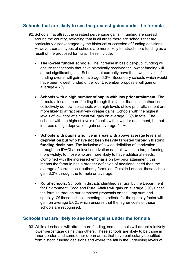#### **Schools that are likely to see the greatest gains under the formula**

- 92.Schools that attract the greatest percentage gains in funding are spread around the country, reflecting that in all areas there are schools that are particularly disadvantaged by the historical succession of funding decisions. However, certain types of schools are more likely to attract more funding as a result of the proposed formula. These include:
	- **The lowest funded schools.** The increase in basic per-pupil funding will ensure that schools that have historically received the lowest funding will attract significant gains. Schools that currently have the lowest levels of funding overall will gain on average 6.0%. Secondary schools which would have been lowest funded under our December proposals will gain on average 4.7%.
	- **Schools with a high number of pupils with low prior attainment**. The formula allocates more funding through this factor than local authorities collectively do now, so schools with high levels of low prior attainment are more likely to attract relatively greater gains. Schools with the highest levels of low prior attainment will gain on average 3.8% in total. The schools with the highest levels of pupils with low prior attainment, but not in areas of high deprivation, gain on average 4.4%.
	- **Schools with pupils who live in areas with above average levels of deprivation but who have not been heavily targeted through historic funding decisions.** The inclusion of a wide definition of deprivation through the IDACI area-level deprivation data allows us to target funding more widely, to those who are more likely to have additional needs. Combined with the increased emphasis on low prior attainment, this means the formula has a broader definition of additional need than the average of current local authority formulae. Outside London, these schools gain 3.2% through the formula on average.
	- **Rural schools**. Schools in districts identified as rural by the Department for Environment, Food and Rural Affairs will gain on average 3.9% under the formula through our combined proposals on the lump sum and sparsity. Of these, schools meeting the criteria for the sparsity factor will gain on average 5.0%, which ensures that the higher costs of these schools are recognised.

## **Schools that are likely to see lower gains under the formula**

93.While all schools will attract more funding, some schools will attract relatively lower percentage gains than others. These schools are likely to be those in Inner London and some other urban areas that have particularly benefited from historic funding decisions and where the fall in the underlying levels of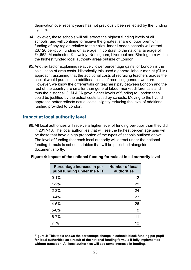deprivation over recent years has not previously been reflected by the funding system.

- 94.However, these schools will still attract the highest funding levels of all schools, and will continue to receive the greatest share of pupil premium funding of any region relative to their size. Inner London schools will attract £6,126 per-pupil funding on average, in contrast to the national average of £4,662. Manchester, Knowsley, Nottingham, Liverpool and Birmingham will be the highest funded local authority areas outside of London.
- 95.Another factor explaining relatively lower percentage gains for London is the calculation of area costs. Historically this used a general labour market (GLM) approach, assuming that the additional costs of recruiting teachers across the capital would parallel the additional costs of recruiting general workers. However, we know the differentials on teachers' pay between London and the rest of the country are smaller than general labour market differentials and thus the historical GLM ACA gave higher levels of funding to London than could be justified by the actual costs faced by schools. Moving to the hybrid approach better reflects actual costs, slightly reducing the level of additional funding provided to London.

#### **Impact at local authority level**

96.All local authorities will receive a higher level of funding per-pupil than they did in 2017-18. The local authorities that will see the highest percentage gain will be those that have a high proportion of the types of schools outlined above. The level of funding that each local authority will attract under the national funding formula is set out in tables that will be published alongside this document shortly.

| <b>Number of local</b><br>Percentage increase in per<br>pupil funding under the NFF<br>authorities |    |
|----------------------------------------------------------------------------------------------------|----|
| $0 - 1%$                                                                                           | 12 |
| $1 - 2%$                                                                                           | 29 |
| $2 - 3%$                                                                                           | 24 |
| $3 - 4%$                                                                                           | 27 |
| $4 - 5%$                                                                                           | 26 |
| $5 - 6%$                                                                                           | 9  |
| $6 - 7%$                                                                                           | 11 |
| $7 + \%$                                                                                           | 12 |

**Figure 4: Impact of the national funding formula at local authority level**

**Figure 4: This table shows the percentage change in schools block funding per pupil for local authorities as a result of the national funding formula if fully implemented without transition. All local authorities will see some increase in funding.**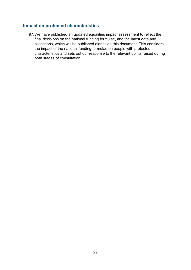#### **Impact on protected characteristics**

97.We have published an updated equalities impact assessment to reflect the final decisions on the national funding formulae, and the latest data and allocations, which will be published alongside this document. This considers the impact of the national funding formulae on people with protected characteristics and sets out our response to the relevant points raised during both stages of consultation.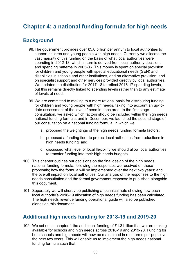# <span id="page-29-0"></span>**Chapter 4: a national funding formula for high needs**

## <span id="page-29-1"></span>**Background**

- 98.The government provides over £5.8 billion per annum to local authorities to support children and young people with high needs. Currently we allocate the vast majority of this funding on the basis of what local authorities were spending in 2012-13, which in turn is derived from local authority decisions and spending patterns in 2005-06. This money is spent on special provision for children and young people with special educational needs (SEN) and disabilities in schools and other institutions, and on alternative provision; and on specialist support and other services provided directly by local authorities. We updated the distribution for 2017-18 to reflect 2016-17 spending levels, but this remains directly linked to spending levels rather than to any estimate of levels of need.
- 99.We are committed to moving to a more rational basis for distributing funding for children and young people with high needs, taking into account an up-todate assessment of the level of need in each area. In the first stage consultation, we asked which factors should be included within the high needs national funding formula, and in December, we launched the second stage of our consultation on a national funding formula, in which we:
	- a. proposed the weightings of the high needs funding formula factors;
	- b. proposed a funding floor to protect local authorities from reductions in high needs funding; and
	- c. discussed what level of local flexibility we should allow local authorities to transfer funding into their high needs budgets.
- 100. This chapter outlines our decisions on the final design of the high needs national funding formula, following the responses we received on these proposals; how the formula will be implemented over the next two years; and the overall impact on local authorities. Our analysis of the responses to the high needs consultation and the formal government response is published alongside this document.
- 101. Separately we will shortly be publishing a technical note showing how each local authority's 2018-19 allocation of high needs funding has been calculated. The high needs revenue funding operational guide will also be published alongside this document.

## <span id="page-29-2"></span>**Additional high needs funding for 2018-19 and 2019-20**

102. We set out in chapter 1 the additional funding of £1.3 billion that we are making available for schools and high needs across 2018-19 and 2019-20. Funding for both schools and high needs will now be maintained in real terms per-pupil over the next two years. This will enable us to implement the high needs national funding formula such that: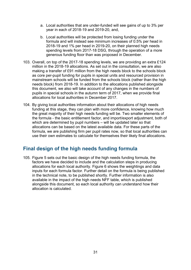- a. Local authorities that are under-funded will see gains of up to 3% per year in each of 2018-19 and 2019-20, and,
- b. Local authorities will be protected from losing funding under the formula and will instead see minimum increases of 0.5% per head in 2018-19 and 1% per head in 2019-20, on their planned high needs spending levels from 2017-18 DSG, through the operation of a more generous funding floor than was proposed in December.
- 103. Overall, on top of the 2017-18 spending levels, we are providing an extra £124 million in the 2018-19 allocations. As set out in the consultation, we are also making a transfer of £91 million from the high needs block to the schools block as core per-pupil funding for pupils in special units and resourced provision in mainstream schools will be funded from the schools block (rather than the high needs block) from 2018-19. In addition to the allocations published alongside this document, we also will take account of any changes in the numbers of pupils in special schools in the autumn term of 2017, when we provide final allocations for local authorities in December 2017.
- 104. By giving local authorities information about their allocations of high needs funding at this stage, they can plan with more confidence, knowing how much the great majority of their high needs funding will be. Two smaller elements of the formula - the basic entitlement factor, and import/export adjustment, both of which are determined by pupil numbers – will be updated later so that allocations can be based on the latest available data. For these parts of the formula, we are publishing firm per pupil rates now, so that local authorities can use their own estimates to calculate for themselves their likely final allocations.

## <span id="page-30-0"></span>**Final design of the high needs funding formula**

105. Figure 5 sets out the basic design of the high needs funding formula, the factors we have decided to include and the calculation steps in producing allocations for each local authority. Figure 6 shows the weightings and data inputs for each formula factor. Further detail on the formula is being published in the technical note, to be published shortly. Further information is also available in the impact of the high needs NFF table, which is published alongside this document, so each local authority can understand how their allocation is calculated.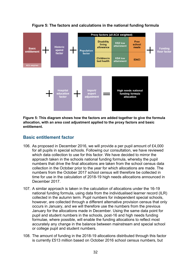

#### **Figure 5: The factors and calculations in the national funding formula**

**Figure 5: This diagram shows how the factors are added together to give the formula allocation, with an area cost adjustment applied to the proxy factors and basic entitlement.**

#### **Basic entitlement factor**

- 106. As proposed in December 2016, we will provide a per pupil amount of £4,000 for all pupils in special schools. Following our consultation, we have reviewed which data collection to use for this factor. We have decided to mirror the approach taken in the schools national funding formula, whereby the pupil numbers that drive the final allocations are taken from the school census data collection in the October prior to the year for which allocations are made. The numbers from the October 2017 school census will therefore be collected in time for use in the calculation of 2018-19 high needs allocations announced in December 2017.
- 107. A similar approach is taken in the calculation of allocations under the 16-19 national funding formula, using data from the individualised learner record (ILR) collected in the autumn term. Pupil numbers for independent special schools, however, are collected through a different alternative provision census that only occurs in January, and we will therefore use the numbers from the previous January for the allocations made in December. Using the same data point for pupil and student numbers in the schools, post-16 and high needs funding formulae, where possible, will enable the funding allocations to reflect most accurately any change in the balance between mainstream and special school or college pupil and student numbers.
- 108. The amount of funding in the 2018-19 allocations distributed through this factor is currently £513 million based on October 2016 school census numbers, but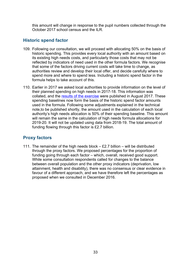this amount will change in response to the pupil numbers collected through the October 2017 school census and the ILR.

## **Historic spend factor**

- 109. Following our consultation, we will proceed with allocating 50% on the basis of historic spending. This provides every local authority with an amount based on its existing high needs costs, and particularly those costs that may not be reflected by indicators of need used in the other formula factors. We recognise that some of the factors driving current costs will take time to change, as authorities review and develop their local offer, and decide carefully where to spend more and where to spend less. Including a historic spend factor in the formula helps to take account of this.
- 110. Earlier in 2017 we asked local authorities to provide information on the level of their planned spending on high needs in 2017-18. This information was collated, and the [results of the exercise](https://www.gov.uk/guidance/pre-16-schools-funding-guidance-for-2018-to-2019) were published in August 2017. These spending baselines now form the basis of the historic spend factor amounts used in the formula. Following some adjustments explained in the technical note,to be published shortly, the amount used in the calculation of each local authority's high needs allocation is 50% of their spending baseline. This amount will remain the same in the calculation of high needs formula allocations for 2019-20. It will not be updated using data from 2018-19. The total amount of funding flowing through this factor is £2.7 billion.

## **Proxy factors**

111. The remainder of the high needs block – £2.7 billion – will be distributed through the proxy factors. We proposed percentages for the proportion of funding going through each factor – which, overall, received good support. While some consultation respondents called for changes to the balance between overall population and the other proxy indicators (deprivation, low attainment, health and disability), there was no consensus or clear evidence in favour of a different approach, and we have therefore left the percentages as proposed when we consulted in December 2016.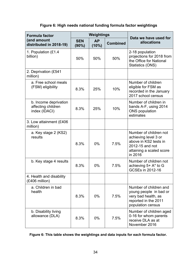| <b>Formula factor</b>                                        | Weightings             |                    |                 | Data we have used for                                                                                                             |  |
|--------------------------------------------------------------|------------------------|--------------------|-----------------|-----------------------------------------------------------------------------------------------------------------------------------|--|
| (and amount<br>distributed in 2018-19)                       | <b>SEN</b><br>$(90\%)$ | <b>AP</b><br>(10%) | <b>Combined</b> | allocations                                                                                                                       |  |
| 1. Population (£1.4<br>billion)                              | 50%                    | 50%                | 50%             | 2-18 population<br>projections for 2018 from<br>the Office for National<br>Statistics (ONS)                                       |  |
| 2. Deprivation (£541<br>million)                             |                        |                    |                 |                                                                                                                                   |  |
| a. Free school meals<br>(FSM) eligibility                    | 8.3%                   | 25%                | 10%             | Number of children<br>eligible for FSM as<br>recorded in the January<br>2017 school census                                        |  |
| b. Income deprivation<br>affecting children<br>index (IDACI) | 8.3%                   | 25%                | 10%             | Number of children in<br>bands A-F, using 2014<br><b>ONS</b> population<br>estimates                                              |  |
| 3. Low attainment (£406<br>million)                          |                        |                    |                 |                                                                                                                                   |  |
| a. Key stage 2 (KS2)<br>results                              | 8.3%                   | 0%                 | 7.5%            | Number of children not<br>achieving level 3 or<br>above in KS2 tests in<br>2012-15 and not<br>attaining a scaled score<br>in 2016 |  |
| b. Key stage 4 results                                       | 8.3%                   | $0\%$              | 7.5%            | Number of children not<br>achieving 5+ A* to G<br>GCSEs in 2012-16                                                                |  |
| 4. Health and disability<br>(£406 million)                   |                        |                    |                 |                                                                                                                                   |  |
| a. Children in bad<br>health                                 | 8.3%                   | 0%                 | 7.5%            | Number of children and<br>young people in bad or<br>very bad health, as<br>reported in the 2011<br>population census              |  |
| b. Disability living<br>allowance (DLA)                      | 8.3%                   | $0\%$              | 7.5%            | Number of children aged<br>0-16 for whom parents<br>receive DLA as at<br>November 2016                                            |  |

## **Figure 6: High needs national funding formula factor weightings**

## **Figure 6: This table shows the weightings and data inputs for each formula factor.**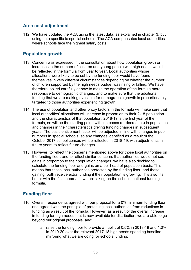## **Area cost adjustment**

112. We have updated the ACA using the latest data, as explained in chapter 3, but using data specific to special schools. The ACA compensates local authorities where schools face the highest salary costs.

## **Population growth**

- 113. Concern was expressed in the consultation about how population growth or increases in the number of children and young people with high needs would be reflected in the formula from year to year. Local authorities whose allocations were likely to be set by the funding floor would have found themselves in very different circumstances depending on whether the number of children supported by the high needs budget was rising or falling. We have therefore looked carefully at how to make the operation of the formula more responsive to demographic changes, and to make sure that the additional funding that we are making available for demographic growth is proportionately targeted to those authorities experiencing growth.
- 114. The use of population and other proxy factors in the formula will make sure that local authorities' allocations will increase in proportion to their 2-18 population and the characteristics of that population. 2018-19 is the first year of the formula, so will be the starting point, with increases (or decreases) in population and changes in their characteristics driving funding changes in subsequent years. The basic entitlement factor will be adjusted in line with changes in pupil numbers in special schools, so any changes identified as a result of the October 2017 school census will be reflected in 2018-19, with adjustments in future years to reflect future changes.
- 115. However, to reflect the concerns mentioned above for those local authorities on the funding floor, and to reflect similar concerns that authorities would not see gains in proportion to their population changes, we have also decided to calculate the funding floor and gains on a per head of population basis. This means that those local authorities protected by the funding floor, and those gaining, both receive extra funding if their population is growing. This also fits better with the final approach we are taking on the schools national funding formula.

## **Funding floor**

- 116. Overall, respondents agreed with our proposal for a 0% minimum funding floor, and agreed with the principle of protecting local authorities from reductions in funding as a result of the formula. However, as a result of the overall increase in funding for high needs that is now available for distribution, we are able to go beyond our original proposals, and:
	- a. raise the funding floor to provide an uplift of 0.5% in 2018-19 and 1.0% in 2019-20 over the relevant 2017-18 high needs spending baseline, mirroring what we are doing for schools funding;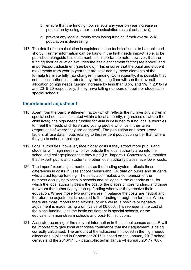- b. ensure that the funding floor reflects any year on year increase in population by using a per-head calculation (as set out above);
- c. prevent any local authority from losing funding if their overall 2-18 population is decreasing.
- 117. The detail of the calculation is explained in the technical note, to be published shortly. Further information can be found in the high needs impact table, to be published alongside this document. It is important to note, however, that the funding floor calculation excludes the basic entitlement factor (see above) and import/export adjustment (see below). This ensures that the pupil and student movements from year to year that are captured by these elements of the formula translate fully into changes in funding. Consequently, it is possible that some local authorities protected by the funding floor will see their overall allocation of high needs funding increase by less than 0.5% and 1% in 2018-19 and 2019-20 respectively, if they have falling numbers of pupils or students in special schools.

#### **Import/export adjustment**

- 118. Apart from the basic entitlement factor (which reflects the number of children in special school places situated within a local authority, regardless of where the child lives), the high needs funding formula is designed to fund local authorities to meet the needs of children and young people who live in their area (regardless of where they are educated). The population and other proxy factors all use data inputs relating to the resident population rather than where they go to school or college.
- 119. Local authorities, however, face higher costs if they attract more pupils and students with high needs who live outside the local authority area into the school and college places that they fund (i.e. 'imports'). Conversely, authorities that 'export' pupils and students to other local authority places face lower costs.
- 120. The import/export adjustment ensures the funding system reflects these differences in costs. It uses school census and ILR data on pupils and students who attract top-up funding. The calculation makes a comparison of the numbers occupying places in schools and colleges in the authority area, for which the local authority bears the cost of the places or core funding, and those for whom the authority pays top-up funding wherever they receive their education. Where those two numbers are in balance the costs are neutral and therefore no adjustment is required to the funding through the formula. Where there are more imports than exports, or vice versa, a positive or negative adjustment is made, using a unit value of £6,000. This represents the cost of the place funding, less the basic entitlement in special schools, or the equivalent in mainstream schools and post-16 institutions.
- 121. Accurate recording of the relevant information in the school census and ILR will be important to give local authorities confidence that their adjustment is being correctly calculated. The amount of the adjustment included in the high needs allocations published in September 2017 is based on the January 2017 school census and the 2016/17 ILR data collected in January/February 2017 (R06).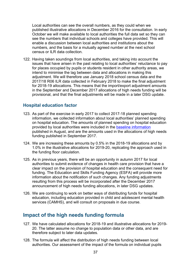Local authorities can see the overall numbers, as they could when we published illustrative allocations in December 2016 for the consultation. In early October we will make available to local authorities the full data set so they can see the numbers that individual schools and colleges have provided. This will enable a discussion between local authorities and institutions about the numbers, and the basis for a mutually agreed number at the next school census or ILR data collection.

122. Having taken soundings from local authorities, and taking into account the issues that have arisen in the past relating to local authorities' reluctance to pay for places occupied by pupils or students resident in other authority areas, we intend to minimise the lag between data and allocations in making this adjustment. We will therefore use January 2018 school census data and the 2017/18 R06 ILR data collected in February 2018 to make the final adjustment for 2018-19 allocations. This means that the import/export adjustment amounts in the September and December 2017 allocations of high needs funding will be provisional, and that the final adjustments will be made in a later DSG update.

## **Hospital education factor**

- 123. As part of the exercise in early 2017 to collect 2017-18 planned spending information, we collected information about local authorities' planned spending on hospital education. The amounts of planned spending on hospital education provided by local authorities were included in the [baseline information](https://www.gov.uk/guidance/pre-16-schools-funding-guidance-for-2018-to-2019) published in August, and are the amounts used in the allocations of high needs funding published in September 2017.
- 124. We are increasing these amounts by 0.5% in the 2018-19 allocations and by 1.0% in the illustrative allocations for 2019-20, replicating the approach used in the funding floor calculation.
- 125. As in previous years, there will be an opportunity in autumn 2017 for local authorities to submit evidence of changes in health care provision that have a clear impact on the provision of hospital education and the consequent need for funding. The Education and Skills Funding Agency (ESFA) will provide more information about the notification of such changes. Any funding adjustments resulting from this process will be incorporated after the December 2017 announcement of high needs funding allocations, in later DSG updates.
- 126. We are continuing to work on better ways of distributing funds for hospital education, including education provided in child and adolescent mental health services (CAMHS), and will consult on proposals in due course.

## <span id="page-36-0"></span>**Impact of the high needs funding formula**

- 127. We have calculated allocations for 2018-19 and illustrative allocations for 2019- 20. The latter assume no change to population data or other data, and are therefore subject to later data updates.
- 128. The formula will affect the distribution of high needs funding between local authorities. Our assessment of the impact of the formula on individual pupils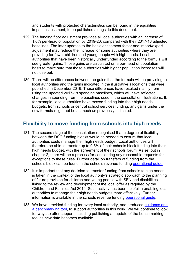and students with protected characteristics can be found in the equalities impact assessment, to be published alongside this document.

- 129. The funding floor adjustment provides all local authorities with an increase of 1.0% per-head of population by 2019-20, compared with their 2017-18 adjusted baselines. The later updates to the basic entitlement factor and import/export adjustment may reduce the increase for some authorities where they are providing for fewer children and young people with high needs. Local authorities that have been historically underfunded according to the formula will see greater gains. Those gains are calculated on a per-head of population basis to make sure that those authorities with higher population increases will not lose out.
- 130. There will be differences between the gains that the formula will be providing to local authorities and the gains indicated in the illustrative allocations that were published in December 2016. These differences have resulted mainly from using the updated 2017-18 spending baselines, which will have reflected changes in spending from the baselines used in the consultation illustrations. If, for example, local authorities have moved funding into their high needs budgets, from schools or central school services funding, any gains under the new formula might not be as much as previously indicated.

## <span id="page-37-0"></span>**Flexibility to move funding from schools into high needs**

- 131. The second stage of the consultation recognised that a degree of flexibility between the DSG funding blocks would be needed to ensure that local authorities could manage their high needs budget. Local authorities will therefore be able to transfer up to 0.5% of their schools block funding into their high needs budget, with the agreement of their schools forum. As set out in chapter 2, there will be a process for considering any reasonable requests for exceptions to these rules. Further detail on transfers of funding from the schools block can be found in the schools revenue funding [operational guide.](https://www.gov.uk/guidance/pre-16-schools-funding-guidance-for-2018-to-2019)
- 132. It is important that any decision to transfer funding from schools to high needs is taken in the context of the local authority's strategic approach to the planning of future provision for children and young people with SEN and disabilities, linked to the review and development of the local offer as required by the Children and Families Act 2014. Such activity has been helpful in enabling local authorities to manage their high needs budgets more effectively. Further information is available in the schools revenue funding [operational guide.](https://www.gov.uk/guidance/pre-16-schools-funding-guidance-for-2018-to-2019)
- 133. We have provided funding for every local authority, and produced guidance and [a benchmarking tool,](https://www.gov.uk/government/publications/high-needs-strategic-planning-fund) to support authorities in this work. We will continue to look for ways to offer support, including publishing an update of the benchmarking tool as new data becomes available.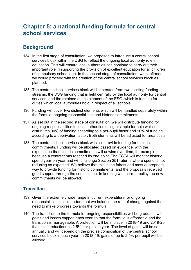# <span id="page-38-0"></span>**Chapter 5: a national funding formula for central school services**

## <span id="page-38-1"></span>**Background**

- 134. In the first stage of consultation, we proposed to introduce a central school services block within the DSG to reflect the ongoing local authority role in education. This will ensure local authorities can continue to carry out their important role in supporting the provision of excellent education for all children of compulsory school age. In the second stage of consultation, we confirmed we would proceed with the creation of the central school services block as planned.
- 135. The central school services block will be created from two existing funding streams: the DSG funding that is held centrally by the local authority for central services, and the retained duties element of the ESG, which is funding for duties which local authorities hold in respect of all schools.
- 136. Funding will cover two distinct elements which will be handled separately within the formula: ongoing responsibilities and historic commitments.
- 137. As set out in the second stage of consultation, we will distribute funding for ongoing responsibilities to local authorities using a simple formula which distributes 90% of funding according to a per-pupil factor and 10% of funding according to a deprivation factor. Both elements will be adjusted for area costs.
- 138. The central school services block will also provide funding for historic commitments. Funding will be allocated based on evidence, with the expectation that historic commitments will unwind over time, for example because a contract has reached its end point. The ESFA will monitor historic spend year-on-year and will challenge Section 251 returns where spend is not reducing as expected. We believe that this is the fairest and most appropriate way to provide funding for historic commitments, and the proposals received good support through the consultation. In keeping with current policy, no new commitments will be allowed.

## **Transition**

- 139. Given the extremely wide range in current expenditure for ongoing responsibilities, it is important that we balance the rate of change against the need to make progress towards the formula.
- 140. The transition to the formula for ongoing responsibilities will be gradual with gains and losses capped each year so that the formula is affordable and the transition is manageable. A protection will be in place in 2018-19 and 2019-20 that limits reductions to 2.5% per-pupil a year. The level of gains will be set annually and will depend on the precise composition of the central school services block in each year. In 2018-19, gains of up to 2.5% per pupil will be allowed.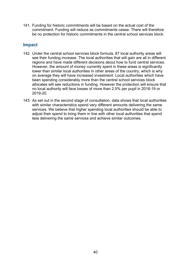141. Funding for historic commitments will be based on the actual cost of the commitment. Funding will reduce as commitments cease. There will therefore be no protection for historic commitments in the central school services block.

## **Impact**

- 142. Under the central school services block formula, 87 local authority areas will see their funding increase. The local authorities that will gain are all in different regions and have made different decisions about how to fund central services. However, the amount of money currently spent in these areas is significantly lower than similar local authorities in other areas of the country, which is why on average they will have increased investment. Local authorities which have been spending considerably more than the central school services block allocates will see reductions in funding. However the protection will ensure that no local authority will face losses of more than 2.5% per pupil in 2018-19 or 2019-20.
- 143. As set out in the second stage of consultation, data shows that local authorities with similar characteristics spend very different amounts delivering the same services. We believe that higher spending local authorities should be able to adjust their spend to bring them in line with other local authorities that spend less delivering the same services and achieve similar outcomes.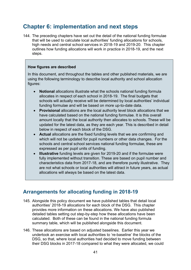# <span id="page-40-0"></span>**Chapter 6: implementation and next steps**

144. The preceding chapters have set out the detail of the national funding formulae that will be used to calculate local authorities' funding allocations for schools, high needs and central school services in 2018-19 and 2019-20. This chapter outlines how funding allocations will work in practice in 2018-19, and the next steps.

#### **How figures are described**

In this document, and throughout the tables and other published materials, we are using the following terminology to describe local authority and school allocation figures:

- **Notional** allocations illustrate what the schools national funding formula allocates in respect of each school in 2018-19. The final budgets that schools will actually receive will be determined by local authorities' individual funding formulae and will be based on more up-to-date data.
- **Provisional** allocations are the local authority level block allocations that we have calculated based on the national funding formulae. It is this overall amount locally that the local authority then allocates to schools. These will be updated for the latest data, as they are each year. This is described in detail below in respect of each block of the DSG.
- **Actual** allocations are the fixed funding levels that we are confirming and which will not be updated for pupil numbers or other data changes. For the schools and central school services national funding formulae, these are expressed as per pupil units of funding.
- **Illustrative** funding levels are given for 2019-20 and if the formulae were fully implemented without transition. These are based on pupil number and characteristics data from 2017-18, and are therefore purely illustrative. They are not what schools or local authorities will attract in future years, as actual allocations will always be based on the latest data.

## <span id="page-40-1"></span>**Arrangements for allocating funding in 2018-19**

- 145. Alongside this policy document we have published tables that detail local authorities' 2018-19 allocations for each block of the DSG. This chapter provides more information on these allocations. We have also published detailed tables setting out step-by-step how these allocations have been calculated. Both of these can be found in the national funding formula summary table, which will be published alongside this document.
- 146. These allocations are based on adjusted baselines. Earlier this year we undertook an exercise with local authorities to 're-baseline' the blocks of the DSG, so that, where local authorities had decided to move funding between their DSG blocks in 2017-18 compared to what they were allocated, we could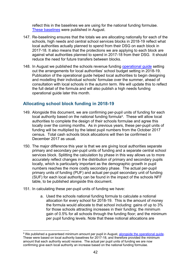reflect this in the baselines we are using for the national funding formulae. [These baselines](https://www.gov.uk/guidance/pre-16-schools-funding-guidance-for-2018-to-2019) were published in August.

- 147. Re-baselining ensures that the totals we are allocating nationally for each of the schools, high needs and central school services blocks in 2018-19 reflect what local authorities actually planned to spend from their DSG on each block in 2017-18. It also means that the protections we are applying to each block are against what authorities planned to spend in 2017-18 from their DSG. It should reduce the need for future transfers between blocks.
- 148. In August we published the schools revenue funding operational quide setting out the arrangements for local authorities' school budget setting in 2018-19. Publication of the operational guide helped local authorities to begin designing and modelling their individual schools' formulae over the summer, ahead of consultation with local schools in the autumn term. We will update this to reflect the full detail of the formula and will also publish a high needs funding operational guide later this month.

## **Allocating school block funding in 2018-19**

- 149. Alongside this document, we are confirming per-pupil units of funding for each local authority based on the national funding formula<sup>9</sup>. These will allow local authorities to complete the design of their schools formulae and agree this locally over the coming months. As in previous years, these per-pupil units of funding will be multiplied by the latest pupil numbers from the October 2017 census. Total cash schools block allocations will then be confirmed in December 2017 as usual.
- 150. The major difference this year is that we are giving local authorities separate primary and secondary per-pupil units of funding and a separate central school services block. Splitting the calculation by phase in this way allows us to more accurately reflect changes in the distribution of primary and secondary pupils locally, which is particularly important as the demographic growth in pupil numbers reaches the more costly secondary phase. The actual per-pupil primary units of funding (PUF) and actual per-pupil secondary unit of funding (SUF) for each local authority can be found in the impact of the schools NFF table, to be published alongside this document.
- 151. In calculating these per-pupil units of funding we have:

 $\overline{a}$ 

a. Used the schools national funding formula to calculate a notional allocation for every school for 2018-19. This is the amount of money the formula would allocate to that school including: gains of up to 3% for those schools attracting increases in their funding; the minimum gain of 0.5% for all schools through the funding floor; and the minimum per pupil funding levels. Note that these notional allocations are

<span id="page-41-0"></span><sup>&</sup>lt;sup>9</sup> We published a guaranteed minimum amount per pupil in August, [alongside the operational guide.](https://www.gov.uk/guidance/pre-16-schools-funding-guidance-for-2018-to-2019) These were based on local authority baselines for 2017-18, and therefore provided the minimum amount that each authority would receive. The actual per pupil units of funding we are now confirming give each local authority an increase based on the national funding formulae.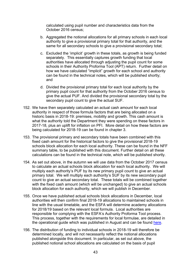calculated using pupil number and characteristics data from the October 2016 census;

- b. Aggregated the notional allocations for all primary schools in each local authority to give a provisional primary total for that authority, and the same for all secondary schools to give a provisional secondary total;
- c. Excluded the 'implicit' growth in these totals, as growth is being funded separately. This essentially captures growth funding that local authorities have allocated through adjusting the pupil count for some schools in their Authority Proforma Tool (APT) return. Further detail on how we have calculated "implicit" growth for each school and authority can be found in the technical notes, which will be published shortly; and
- d. Divided the provisional primary total for each local authority by the primary pupil count for that authority from the October 2016 census to give the actual PUF. And divided the provisional secondary total by the secondary pupil count to give the actual SUF.
- 152. We have then separately calculated an actual cash amount for each local authority in respect of those formula factors that are being allocated on a historic basis in 2018-19: premises, mobility and growth. This cash amount is what the authority told the Department they were spending on these factors in 2017-18, plus an uplift for inflation on PFI. More detail on how these factors are being calculated for 2018-19 can be found in chapter 3.
- 153. The provisional primary and secondary totals have been combined with this fixed cash amount for the historical factors to give the provisional 2018-19 schools block allocation for each local authority. These can be found in the NFF summary table, to be published with this document. Further detail on all these calculations can be found in the technical note, which will be published shortly.
- 154. As set out above, in the autumn we will use data from the October 2017 census to calculate an actual schools block allocation for each local authority. We will multiply each authority's PUF by its new primary pupil count to give an actual primary total. We will multiply each authority's SUF by its new secondary pupil count to give an actual secondary total. These totals will be combined together with the fixed cash amount (which will be unchanged) to give an actual schools block allocation for each authority, which we will publish in December.
- 155. Once we have published actual schools block allocations in December, local authorities will then confirm final 2018-19 allocations to maintained schools in line with the usual timetable, and the ESFA will determine academy allocations for 2018/19 based on the relevant local formula. Local authorities are responsible for complying with the ESFA's Authority Proforma Tool process. This process, together with the requirements for local formulae, are detailed in the operational guide which was published in August and can be found [here.](https://www.gov.uk/guidance/pre-16-schools-funding-guidance-for-2018-to-2019)
- 156. The distribution of funding to individual schools in 2018-19 will therefore be determined locally, and will not necessarily reflect the notional allocations published alongside this document. In particular, as set out above, the published notional school allocations are calculated on the basis of pupil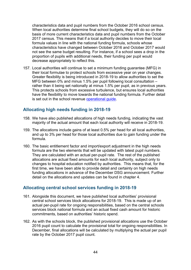characteristics data and pupil numbers from the October 2016 school census. When local authorities determine final school budgets, they will do so on the basis of more current characteristics data and pupil numbers from the October 2017 census. This means that if a local authority decides to move their local formula values in line with the national funding formula, schools whose characteristics have changed between October 2016 and October 2017 would not see the same budget resulting. For instance, if a school sees a drop in the proportion of pupils with additional needs, their funding per pupil would decrease appropriately to reflect this.

157. Local authorities will continue to set a minimum funding guarantee (MFG) in their local formulae to protect schools from excessive year on year changes. Greater flexibility is being introduced in 2018-19 to allow authorities to set the MFG between 0% and minus 1.5% per pupil following local consultation – rather than it being set nationally at minus 1.5% per pupil, as in previous years. This protects schools from excessive turbulence, but ensures local authorities have the flexibility to move towards the national funding formula. Further detail is set out in the school revenue [operational guide.](https://www.gov.uk/guidance/pre-16-schools-funding-guidance-for-2018-to-2019)

#### **Allocating high needs funding in 2018-19**

- 158. We have also published allocations of high needs funding, indicating the vast majority of the actual amount that each local authority will receive in 2018-19.
- 159. The allocations include gains of at least 0.5% per head for all local authorities, and up to 3% per head for those local authorities due to gain funding under the formula.
- 160. The basic entitlement factor and import/export adjustment in the high needs formula are the two elements that will be updated with latest pupil numbers. They are calculated with an actual per-pupil rate. The rest of the published allocations are actual fixed amounts for each local authority, subject only to changes to hospital education notified by authorities. This means that, for the first time, we have been able to provide detail and certainty on high needs funding allocations in advance of the December DSG announcement. Further detail on the allocations and updates can be found in chapter 4.

#### **Allocating central school services funding in 2018-19**

- 161. Alongside this document, we have published local authorities' provisional central school services block allocations for 2018-19. This is made up of an actual per-pupil rate for ongoing responsibilities, based on the central schools services block national formula and an actual fixed cash amount for historic commitments, based on authorities' historic spend.
- 162. As with the schools block, the published provisional allocations use the October 2016 pupil count to calculate the provisional total for ongoing responsibilities. In December, final allocations will be calculated by multiplying the actual per pupil rate by the October 2017 pupil count.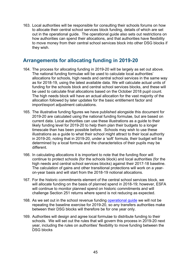163. Local authorities will be responsible for consulting their schools forums on how to allocate their central school services block funding, details of which are set out in the operational guide. The operational guide also sets out restrictions on how authorities can spend their allocations, and that authorities have flexibility to move money from their central school services block into other DSG blocks if they wish.

## <span id="page-44-0"></span>**Arrangements for allocating funding in 2019-20**

- 164. The process for allocating funding in 2019-20 will be largely as set out above. The national funding formulae will be used to calculate local authorities' allocations for schools, high needs and central school services in the same way as for 2018-19, using the latest available data. We will calculate actual units of funding for the schools block and central school services blocks, and these will be used to calculate final allocations based on the October 2018 pupil count. The high needs block will have an actual allocation for the vast majority of the allocation followed by later updates for the basic entitlement factor and import/export adjustment calculations.
- 165. The illustrative funding figures we have published alongside this document for 2019-20 are calculated using the national funding formulae, but are based on current data. Local authorities can use these illustrations as a guide to their likely funding level for 2019-20 to help them plan their budgets to a longer timescale than has been possible before. Schools may wish to use these illustrations as a guide to what their school might attract to their local authority in 2019-20, noting that in 2019-20, under a 'soft' formula, their budget will be determined by a local formula and the characteristics of their pupils may be different.
- 166. In calculating allocations it is important to note that the funding floor will continue to protect schools (for the schools block) and local authorities (for the high needs and central school services blocks) against their 2017-18 baseline. The calculation of gains and other transitional protections will work on a yearon-year basis and will start from the 2018-19 notional allocations.
- 167. For the historic commitments element of the central school services block, we will allocate funding on the basis of planned spend in 2018-19; however, ESFA will continue to monitor planned spend on historic commitments and will challenge Section 251 returns where spend is not reducing as expected.
- 168. As we set out in the school revenue funding [operational guide](https://www.gov.uk/guidance/pre-16-schools-funding-guidance-for-2018-to-2019) we will not be repeating the baseline exercise for 2019-20, so any transfers authorities make between their DSG blocks will therefore be for one year only.
- 169. Authorities will design and agree local formulae to distribute funding to their schools. We will set out the rules that will govern this process in 2019-20 next year, including the rules on authorities' flexibility to move funding between the DSG blocks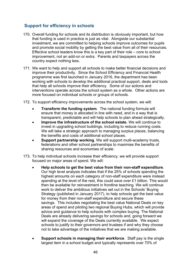## **Support for efficiency in schools**

- 170. Overall funding for schools and its distribution is obviously important, but how that funding is used in practice is just as vital. Alongside our substantial investment, we are committed to helping schools improve outcomes for pupils and promote social mobility by getting the best value from all of their resources. Effective school leaders know this is a key part of their role – core to school improvement, not an add-on or extra. Parents and taxpayers across the country expect nothing less.
- 171. We want to help and support all schools to make better financial decisions and improve their productivity. Since the School Efficiency and Financial Health programme was first launched in January 2016, the department has been working with schools to develop the additional practical support, deals and tools that help all schools improve their efficiency. Some of our actions and interventions operate across the school system as a whole. Other actions are more focused on individual schools or groups of schools.
- 172. To support efficiency improvements across the school system, we will:
	- **Transform the funding system**. The national funding formula will ensure that money is allocated in line with need, and in a way that is transparent, predictable and will help schools to plan ahead strategically.
	- **Improve the infrastructure of the school estate.** We will continue to invest in upgrading school buildings, including to reduce running costs. We will take a strategic approach to managing surplus places, balancing the benefits and costs of additional school places.
	- **Support partnership working.** We will support multi-academy trusts, federations and other school partnerships to maximise the benefits of sharing resources and economies of scale.
- 173. To help individual schools increase their efficiency, we will provide support focused on major areas of spend. We will:
	- **Help schools to get the best value from their non-staff expenditure**. Our high level analysis indicates that if the 25% of schools spending the highest amounts on each category of non-staff expenditure were instead spending at the level of the rest, this could save over £1 billion. This would then be available for reinvestment in frontline teaching. We will continue work to deliver the ambitious initiatives set out in the Schools' Buying Strategy (published in January 2017), to help schools get the best value for money from their non-staff expenditure and secure these savings. This includes negotiating the best value National Deals on key areas of spend and piloting two regional Buying Hubs, which will provide advice and guidance to help schools with complex buying. The National Deals are already delivering savings for schools and, going forward we will expand the coverage of the Deals currently available. We expect schools to justify to their governors and trustees if and why they choose not to take advantage of the initiatives that we are making available.
	- **Support schools in managing their workforce**. Staff pay is the single largest item in a school budget and typically represents over 70% of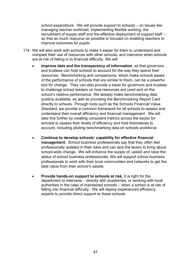school expenditure. We will provide support to schools – on issues like managing teacher workload, implementing flexible working, the recruitment of supply staff and the effective deployment of support staff – so that as much resource as possible is focused on enabling teachers to improve outcomes for pupils.

- 174. We will also work with schools to make it easier for them to understand and compare their use of resources with other schools, and intervene when schools are at risk of falling in to financial difficulty. We will:
	- **Improve data and the transparency of information**, so that governors and trustees can hold schools to account for the way they spend their resources. Benchmarking and comparisons, which make schools aware of the performance of schools that are similar to them, can be a powerful tool for change. They can also provide a basis for governors and trustees to challenge school leaders on how resources are used and on the school's relative performance. We already make benchmarking data publicly available, as well as providing the Benchmarking Report Card directly to schools. Through tools such as the Schools Financial Value Standard, we provide a common framework for all schools to assess and understand their overall efficiency and financial management. We will take this further by creating consistent metrics across the sector for schools to assess their levels of efficiency and hold themselves to account, including piloting benchmarking data on schools workforce.
	- **Continue to develop schools' capability for effective financial management.** School business professionals say that they often feel professionally isolated in their roles and can lack the levers to bring about school-wide change. We will enhance the supply of, upskill and raise the status of school business professionals. We will support school business professionals to work with their local communities and networks to get the best value from their school's assets.
	- **Provide hands-on support to schools at risk.** It is right for the department to intervene – directly with academies, or working with local authorities in the case of maintained schools – when a school is at risk of falling into financial difficulty. We will deploy experienced efficiency experts to provide direct support to these schools.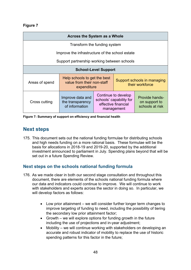#### **Figure 7**

| <b>Across the System as a Whole</b>             |                                                                           |                                                                                     |  |                                                    |
|-------------------------------------------------|---------------------------------------------------------------------------|-------------------------------------------------------------------------------------|--|----------------------------------------------------|
| Transform the funding system                    |                                                                           |                                                                                     |  |                                                    |
| Improve the infrastructure of the school estate |                                                                           |                                                                                     |  |                                                    |
| Support partnership working between schools     |                                                                           |                                                                                     |  |                                                    |
| <b>School-Level Support</b>                     |                                                                           |                                                                                     |  |                                                    |
| Areas of spend                                  | Help schools to get the best<br>value from their non-staff<br>expenditure |                                                                                     |  | Support schools in managing<br>their workforce     |
| Cross cutting                                   | Improve data and<br>the transparency<br>of information                    | Continue to develop<br>schools' capability for<br>effective financial<br>management |  | Provide hands-<br>on support to<br>schools at risk |

**Figure 7: Summary of support on efficiency and financial health**

## <span id="page-47-0"></span>**Next steps**

175. This document sets out the national funding formulae for distributing schools and high needs funding on a more rational basis. These formulae will be the basis for allocations in 2018-19 and 2019-20, supported by the additional investment announced to parliament in July. Spending plans beyond that will be set out in a future Spending Review.

## **Next steps on the schools national funding formula**

- 176. As we made clear in both our second stage consultation and throughout this document, there are elements of the schools national funding formula where our data and indicators could continue to improve. We will continue to work with stakeholders and experts across the sector in doing so. In particular, we will develop factors as follows:
	- Low prior attainment we will consider further longer term changes to improve targeting of funding to need, including the possibility of tiering the secondary low prior attainment factor;
	- Growth we will explore options for funding growth in the future including the use of projections and in-year adjustment;
	- Mobility we will continue working with stakeholders on developing an accurate and robust indicator of mobility to replace the use of historic spending patterns for this factor in the future;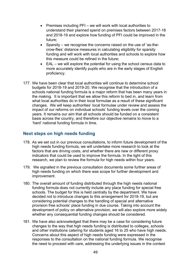- Premises including PFI we will work with local authorities to understand their planned spend on premises factors between 2017-18 and 2018-19 and explore how funding of PFI could be improved in the future;
- Sparsity we recognise the concerns raised on the use of 'as-thecrow-flies' distance measures in calculating eligibility for sparsity funding and will work with local authorities and schools to explore how this measure could be refined in the future;
- EAL we will explore the potential for using the school census data to more accurately identify pupils who are in the early stages of English proficiency.
- 177. We have been clear that local authorities will continue to determine school budgets for 2018-19 and 2019-20. We recognise that the introduction of a schools national funding formula is a major reform that has been many years in the making. It is important that we allow this reform to bed in, and learn from what local authorities do in their local formulae as a result of these significant changes. We will keep authorities' local formulae under review and assess the impact of our reforms on individual schools' funding levels over the coming years. It remains our aim that all schools should be funded on a consistent basis across the country, and therefore our objective remains to move to a 'hard' national funding formula in time.

## **Next steps on high needs funding**

- 178. As we set out in our previous consultations, to inform future development of the high needs funding formula, we will undertake more research to look at the factors that are driving costs, and whether there are new or different proxy indicators that could be used to improve the formula. In the light of this research, we plan to review the formula for high needs within four years.
- 179. We signalled in the previous consultation documents some further areas of high needs funding on which there was scope for further development and improvement.
- 180. The overall amount of funding distributed through the high needs national funding formula does not currently include any place funding for special free schools. The budget for this is held centrally by the department. We have decided not to introduce changes to this arrangement for 2018-19, but are considering potential changes to the handling of special and alternative provision free schools' place funding in due course. Taking into account the development of policy on alternative provision, we will also explore more widely whether any consequential funding changes should be considered.
- 181. We have also acknowledged that there may be a case for considering future changes to the way that high needs funding is distributed to colleges, schools and other institutions catering for students aged 16 to 25 who have high needs. Concerns about this aspect of high needs funding were expressed in the responses to the consultation on the national funding formula. We recognise the need to proceed with care, addressing the underlying issues in the context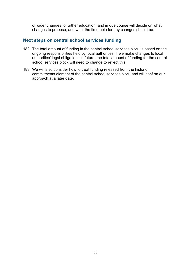of wider changes to further education, and in due course will decide on what changes to propose, and what the timetable for any changes should be.

#### **Next steps on central school services funding**

- 182. The total amount of funding in the central school services block is based on the ongoing responsibilities held by local authorities. If we make changes to local authorities' legal obligations in future, the total amount of funding for the central school services block will need to change to reflect this.
- 183. We will also consider how to treat funding released from the historic commitments element of the central school services block and will confirm our approach at a later date.